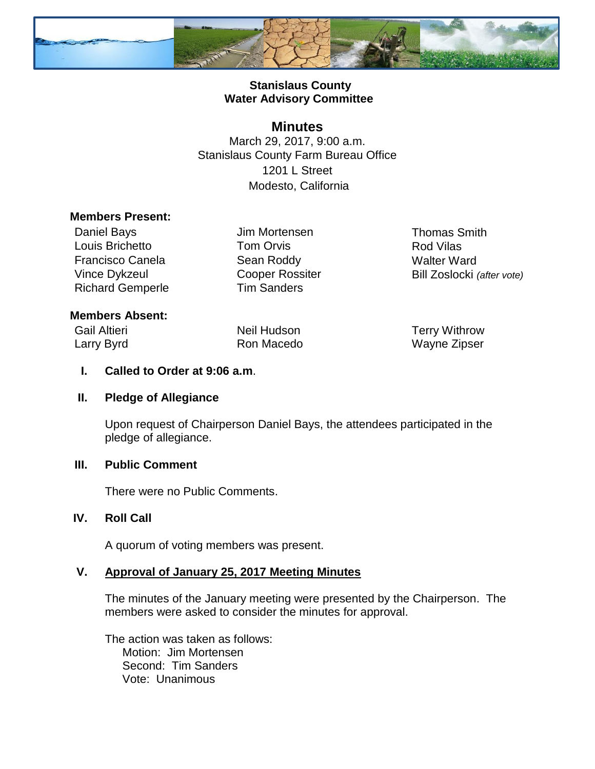

## **Stanislaus County Water Advisory Committee**

## **Minutes**

March 29, 2017, 9:00 a.m. Stanislaus County Farm Bureau Office 1201 L Street Modesto, California

#### **Members Present:**

Daniel Bays **Jim Mortensen** Thomas Smith Louis Brichetto **Tom Orvis Constanting Constanting Constanting Constanting Constanting Constanting Constanting Constanting Constanting Constanting Constanting Constanting Constanting Constanting Constanting Constanting C** Francisco Canela **Sean Roddy** Walter Ward Richard Gemperle Tim Sanders

Vince Dykzeul **Cooper Rossiter** Bill Zoslocki *(after vote)* 

#### **Members Absent:**

Gail Altieri **Neil Hudson Neil Hudson** Terry Withrow

Larry Byrd **Ron Macedo** Wayne Zipser

#### **I. Called to Order at 9:06 a.m**.

#### **II. Pledge of Allegiance**

Upon request of Chairperson Daniel Bays, the attendees participated in the pledge of allegiance.

#### **III. Public Comment**

There were no Public Comments.

## **IV. Roll Call**

A quorum of voting members was present.

#### **V. Approval of January 25, 2017 Meeting Minutes**

The minutes of the January meeting were presented by the Chairperson. The members were asked to consider the minutes for approval.

The action was taken as follows: Motion: Jim Mortensen Second: Tim Sanders Vote: Unanimous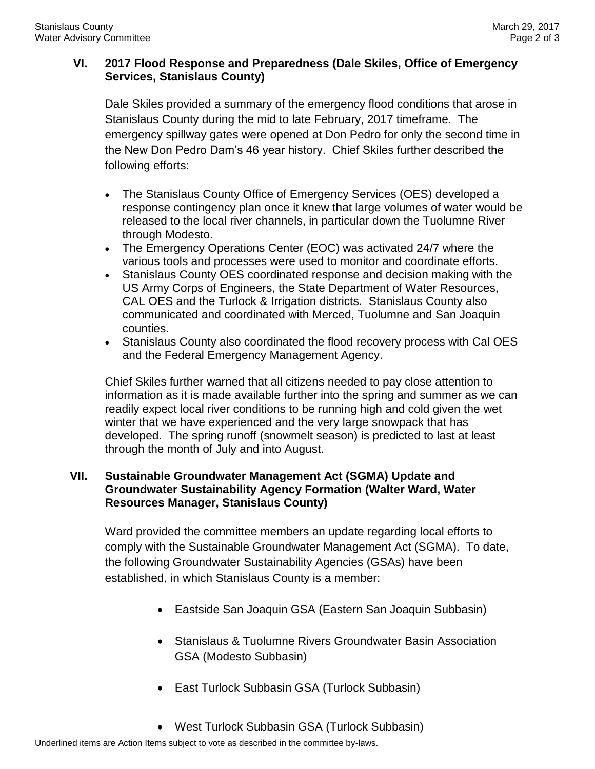# **VI. 2017 Flood Response and Preparedness (Dale Skiles, Office of Emergency Services, Stanislaus County)**

Dale Skiles provided a summary of the emergency flood conditions that arose in Stanislaus County during the mid to late February, 2017 timeframe. The emergency spillway gates were opened at Don Pedro for only the second time in the New Don Pedro Dam's 46 year history. Chief Skiles further described the following efforts:

- The Stanislaus County Office of Emergency Services (OES) developed a response contingency plan once it knew that large volumes of water would be released to the local river channels, in particular down the Tuolumne River through Modesto.
- The Emergency Operations Center (EOC) was activated 24/7 where the various tools and processes were used to monitor and coordinate efforts.
- Stanislaus County OES coordinated response and decision making with the US Army Corps of Engineers, the State Department of Water Resources, CAL OES and the Turlock & Irrigation districts. Stanislaus County also communicated and coordinated with Merced, Tuolumne and San Joaquin counties.
- Stanislaus County also coordinated the flood recovery process with Cal OES and the Federal Emergency Management Agency.

Chief Skiles further warned that all citizens needed to pay close attention to information as it is made available further into the spring and summer as we can readily expect local river conditions to be running high and cold given the wet winter that we have experienced and the very large snowpack that has developed. The spring runoff (snowmelt season) is predicted to last at least through the month of July and into August.

## **VII. Sustainable Groundwater Management Act (SGMA) Update and Groundwater Sustainability Agency Formation (Walter Ward, Water Resources Manager, Stanislaus County)**

Ward provided the committee members an update regarding local efforts to comply with the Sustainable Groundwater Management Act (SGMA). To date, the following Groundwater Sustainability Agencies (GSAs) have been established, in which Stanislaus County is a member:

- Eastside San Joaquin GSA (Eastern San Joaquin Subbasin)
- Stanislaus & Tuolumne Rivers Groundwater Basin Association GSA (Modesto Subbasin)
- East Turlock Subbasin GSA (Turlock Subbasin)
- West Turlock Subbasin GSA (Turlock Subbasin)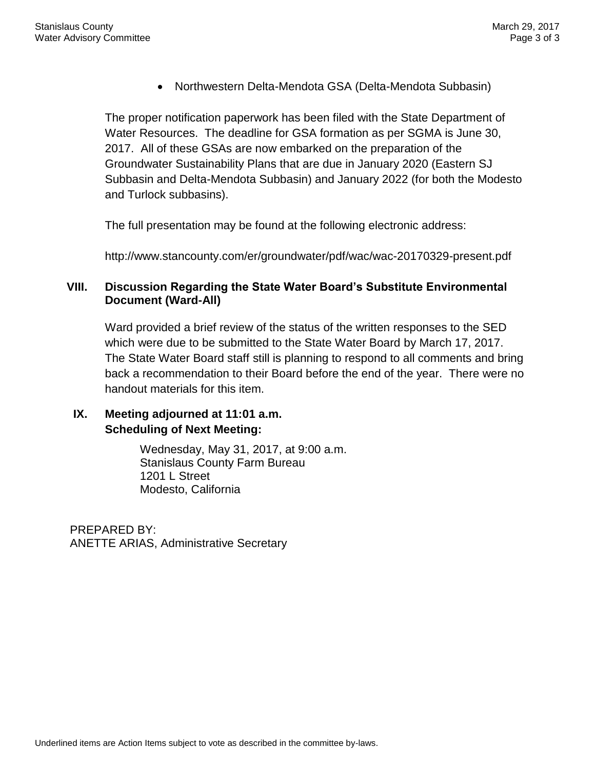Northwestern Delta-Mendota GSA (Delta-Mendota Subbasin)

The proper notification paperwork has been filed with the State Department of Water Resources. The deadline for GSA formation as per SGMA is June 30, 2017. All of these GSAs are now embarked on the preparation of the Groundwater Sustainability Plans that are due in January 2020 (Eastern SJ Subbasin and Delta-Mendota Subbasin) and January 2022 (for both the Modesto and Turlock subbasins).

The full presentation may be found at the following electronic address:

http://www.stancounty.com/er/groundwater/pdf/wac/wac-20170329-present.pdf

## **VIII. Discussion Regarding the State Water Board's Substitute Environmental Document (Ward-All)**

Ward provided a brief review of the status of the written responses to the SED which were due to be submitted to the State Water Board by March 17, 2017. The State Water Board staff still is planning to respond to all comments and bring back a recommendation to their Board before the end of the year. There were no handout materials for this item.

# **IX. Meeting adjourned at 11:01 a.m. Scheduling of Next Meeting:**

Wednesday, May 31, 2017, at 9:00 a.m. Stanislaus County Farm Bureau 1201 L Street Modesto, California

PREPARED BY: ANETTE ARIAS, Administrative Secretary